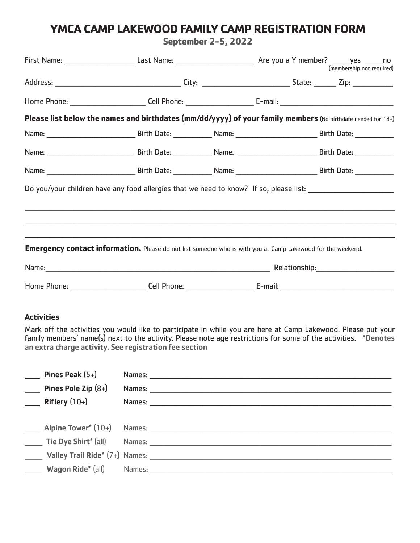## YMCA CAMP LAKEWOOD FAMILY CAMP REGISTRATION FORM

**September 2-5, 2022** 

|                                                                                                                |  |  |                                   | (membership not required) |  |  |
|----------------------------------------------------------------------------------------------------------------|--|--|-----------------------------------|---------------------------|--|--|
|                                                                                                                |  |  |                                   |                           |  |  |
|                                                                                                                |  |  |                                   |                           |  |  |
| Please list below the names and birthdates (mm/dd/yyyy) of your family members (No birthdate needed for 18+)   |  |  |                                   |                           |  |  |
|                                                                                                                |  |  |                                   |                           |  |  |
|                                                                                                                |  |  |                                   |                           |  |  |
|                                                                                                                |  |  |                                   |                           |  |  |
| Do you/your children have any food allergies that we need to know? If so, please list: _______________________ |  |  |                                   |                           |  |  |
|                                                                                                                |  |  |                                   |                           |  |  |
|                                                                                                                |  |  |                                   |                           |  |  |
| Emergency contact information. Please do not list someone who is with you at Camp Lakewood for the weekend.    |  |  |                                   |                           |  |  |
|                                                                                                                |  |  | Name: Relationship: Relationship: |                           |  |  |
|                                                                                                                |  |  |                                   |                           |  |  |

## **Activities**

Mark off the activities you would like to participate in while you are here at Camp Lakewood. Please put your<br>family members' name(s) next to the activity. Please note age restrictions for some of the activities. \*Denotes an extra charge activity. See registration fee section

| Pines Peak $(5+)$              |        | Names: ________________                        |
|--------------------------------|--------|------------------------------------------------|
| Pines Pole Zip (8+)            |        | Names: 1997 1998                               |
| $R$ iflery $(10+)$             |        |                                                |
|                                |        |                                                |
|                                |        | <b>Alpine Tower*</b> (10+) Names: <b>Names</b> |
|                                |        | Tie Dye Shirt* (all) Mames: Names:             |
| Valley Trail Ride* (7+) Names: |        |                                                |
| Wagon Ride* (all)              | Names: |                                                |
|                                |        |                                                |